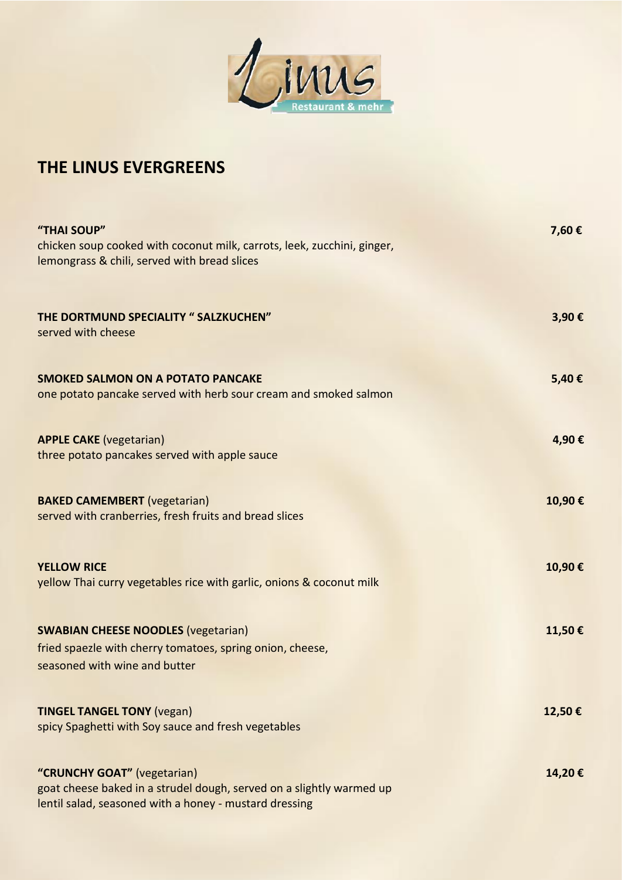

### **THE LINUS EVERGREENS**

| "THAI SOUP"<br>chicken soup cooked with coconut milk, carrots, leek, zucchini, ginger,<br>lemongrass & chili, served with bread slices                        | 7,60€  |
|---------------------------------------------------------------------------------------------------------------------------------------------------------------|--------|
| THE DORTMUND SPECIALITY " SALZKUCHEN"<br>served with cheese                                                                                                   | 3,90€  |
| <b>SMOKED SALMON ON A POTATO PANCAKE</b><br>one potato pancake served with herb sour cream and smoked salmon                                                  | 5,40€  |
| <b>APPLE CAKE</b> (vegetarian)<br>three potato pancakes served with apple sauce                                                                               | 4,90€  |
| <b>BAKED CAMEMBERT</b> (vegetarian)<br>served with cranberries, fresh fruits and bread slices                                                                 | 10,90€ |
| <b>YELLOW RICE</b><br>yellow Thai curry vegetables rice with garlic, onions & coconut milk                                                                    | 10,90€ |
| <b>SWABIAN CHEESE NOODLES (vegetarian)</b><br>fried spaezle with cherry tomatoes, spring onion, cheese,<br>seasoned with wine and butter                      | 11,50€ |
| <b>TINGEL TANGEL TONY (vegan)</b><br>spicy Spaghetti with Soy sauce and fresh vegetables                                                                      | 12,50€ |
| "CRUNCHY GOAT" (vegetarian)<br>goat cheese baked in a strudel dough, served on a slightly warmed up<br>lentil salad, seasoned with a honey - mustard dressing | 14,20€ |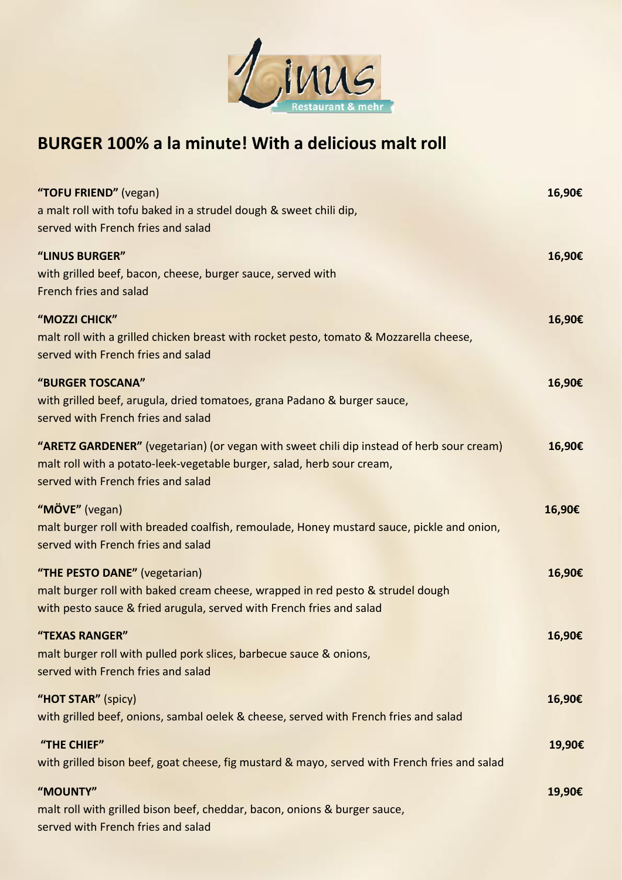

## **BURGER 100% a la minute! With a delicious malt roll**

| "TOFU FRIEND" (vegan)<br>a malt roll with tofu baked in a strudel dough & sweet chili dip,<br>served with French fries and salad                                                                         | 16,90€ |
|----------------------------------------------------------------------------------------------------------------------------------------------------------------------------------------------------------|--------|
| "LINUS BURGER"<br>with grilled beef, bacon, cheese, burger sauce, served with<br>French fries and salad                                                                                                  | 16,90€ |
| "MOZZI CHICK"<br>malt roll with a grilled chicken breast with rocket pesto, tomato & Mozzarella cheese,<br>served with French fries and salad                                                            | 16,90€ |
| "BURGER TOSCANA"<br>with grilled beef, arugula, dried tomatoes, grana Padano & burger sauce,<br>served with French fries and salad                                                                       | 16,90€ |
| "ARETZ GARDENER" (vegetarian) (or vegan with sweet chili dip instead of herb sour cream)<br>malt roll with a potato-leek-vegetable burger, salad, herb sour cream,<br>served with French fries and salad | 16,90€ |
| "MÖVE" (vegan)<br>malt burger roll with breaded coalfish, remoulade, Honey mustard sauce, pickle and onion,<br>served with French fries and salad                                                        | 16,90€ |
| "THE PESTO DANE" (vegetarian)<br>malt burger roll with baked cream cheese, wrapped in red pesto & strudel dough<br>with pesto sauce & fried arugula, served with French fries and salad                  | 16,90€ |
| "TEXAS RANGER"<br>malt burger roll with pulled pork slices, barbecue sauce & onions,<br>served with French fries and salad                                                                               | 16,90€ |
| "HOT STAR" (spicy)<br>with grilled beef, onions, sambal oelek & cheese, served with French fries and salad                                                                                               | 16,90€ |
| "THE CHIEF"<br>with grilled bison beef, goat cheese, fig mustard & mayo, served with French fries and salad                                                                                              | 19,90€ |
| "MOUNTY"<br>malt roll with grilled bison beef, cheddar, bacon, onions & burger sauce,<br>served with French fries and salad                                                                              | 19,90€ |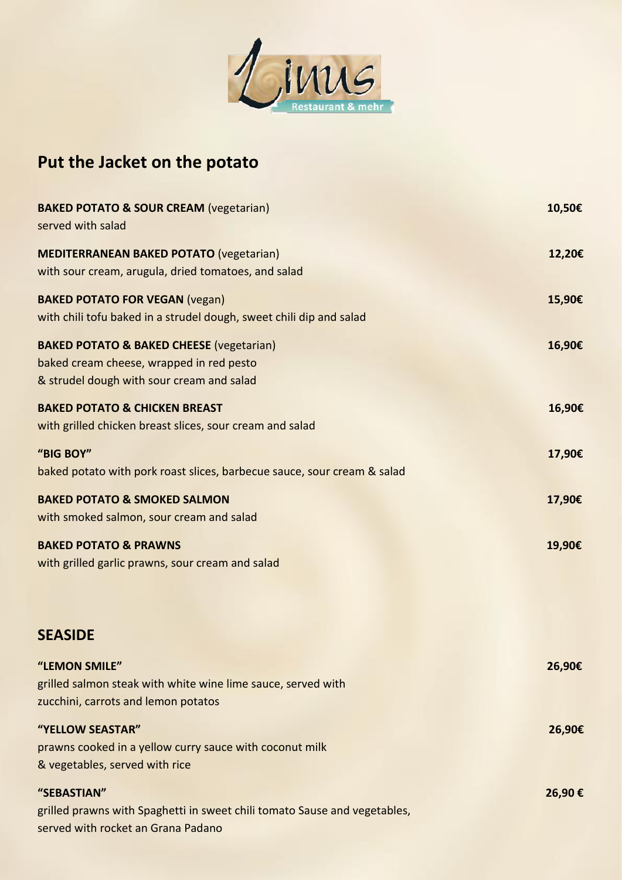

# **Put the Jacket on the potato**

| <b>BAKED POTATO &amp; SOUR CREAM (vegetarian)</b><br>served with salad                                                                       | 10,50€ |
|----------------------------------------------------------------------------------------------------------------------------------------------|--------|
| <b>MEDITERRANEAN BAKED POTATO (vegetarian)</b><br>with sour cream, arugula, dried tomatoes, and salad                                        | 12,20€ |
| <b>BAKED POTATO FOR VEGAN (vegan)</b><br>with chili tofu baked in a strudel dough, sweet chili dip and salad                                 | 15,90€ |
| <b>BAKED POTATO &amp; BAKED CHEESE (vegetarian)</b><br>baked cream cheese, wrapped in red pesto<br>& strudel dough with sour cream and salad | 16,90€ |
| <b>BAKED POTATO &amp; CHICKEN BREAST</b><br>with grilled chicken breast slices, sour cream and salad                                         | 16,90€ |
| "BIG BOY"<br>baked potato with pork roast slices, barbecue sauce, sour cream & salad                                                         | 17,90€ |
| <b>BAKED POTATO &amp; SMOKED SALMON</b><br>with smoked salmon, sour cream and salad                                                          | 17,90€ |
| <b>BAKED POTATO &amp; PRAWNS</b><br>with grilled garlic prawns, sour cream and salad                                                         | 19,90€ |
| <b>SEASIDE</b>                                                                                                                               |        |
| "LEMON SMILE"<br>grilled salmon steak with white wine lime sauce, served with<br>zucchini, carrots and lemon potatos                         | 26,90€ |
| "YELLOW SEASTAR"<br>prawns cooked in a yellow curry sauce with coconut milk<br>& vegetables, served with rice                                | 26,90€ |
| "SEBASTIAN"<br>grilled prawns with Spaghetti in sweet chili tomato Sause and vegetables,<br>served with rocket an Grana Padano               | 26,90€ |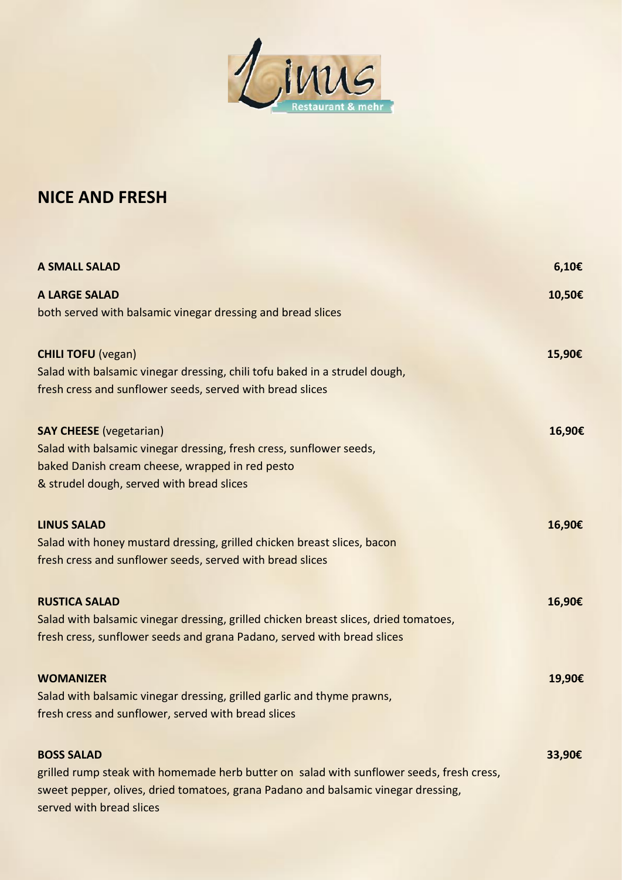

### **NICE AND FRESH**

| <b>A SMALL SALAD</b>                                                                     | $6,10 \in$ |
|------------------------------------------------------------------------------------------|------------|
| <b>A LARGE SALAD</b>                                                                     | 10,50€     |
| both served with balsamic vinegar dressing and bread slices                              |            |
| <b>CHILI TOFU (vegan)</b>                                                                | 15,90€     |
| Salad with balsamic vinegar dressing, chili tofu baked in a strudel dough,               |            |
| fresh cress and sunflower seeds, served with bread slices                                |            |
| <b>SAY CHEESE</b> (vegetarian)                                                           | 16,90€     |
| Salad with balsamic vinegar dressing, fresh cress, sunflower seeds,                      |            |
| baked Danish cream cheese, wrapped in red pesto                                          |            |
| & strudel dough, served with bread slices                                                |            |
| <b>LINUS SALAD</b>                                                                       | 16,90€     |
| Salad with honey mustard dressing, grilled chicken breast slices, bacon                  |            |
| fresh cress and sunflower seeds, served with bread slices                                |            |
| <b>RUSTICA SALAD</b>                                                                     | 16,90€     |
| Salad with balsamic vinegar dressing, grilled chicken breast slices, dried tomatoes,     |            |
| fresh cress, sunflower seeds and grana Padano, served with bread slices                  |            |
| <b>WOMANIZER</b>                                                                         | 19,90€     |
| Salad with balsamic vinegar dressing, grilled garlic and thyme prawns,                   |            |
| fresh cress and sunflower, served with bread slices                                      |            |
| <b>BOSS SALAD</b>                                                                        | 33,90€     |
| grilled rump steak with homemade herb butter on salad with sunflower seeds, fresh cress, |            |
| sweet pepper, olives, dried tomatoes, grana Padano and balsamic vinegar dressing,        |            |
| served with bread slices                                                                 |            |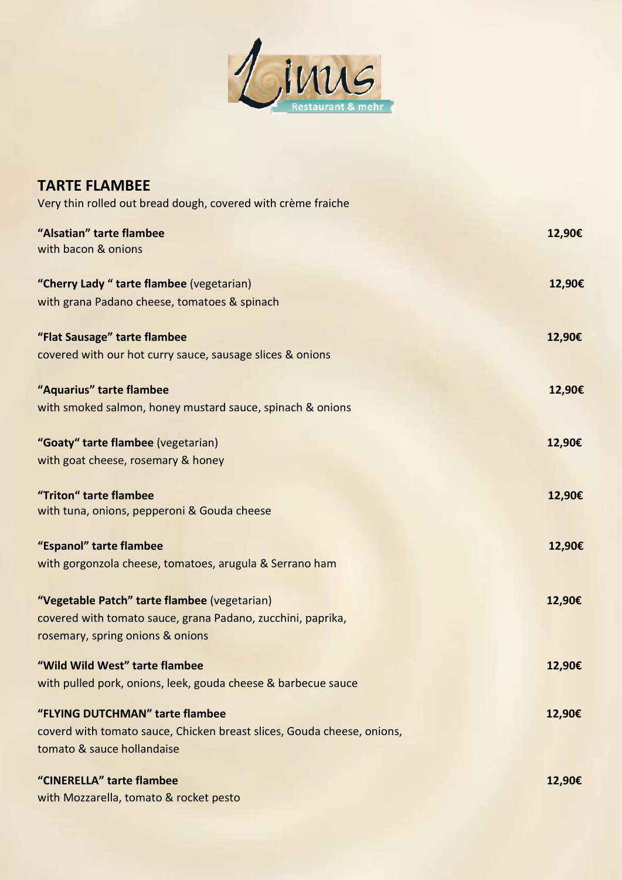

| <b>TARTE FLAMBEE</b>                                                                                                                            |        |
|-------------------------------------------------------------------------------------------------------------------------------------------------|--------|
| Very thin rolled out bread dough, covered with crème fraiche                                                                                    |        |
| "Alsatian" tarte flambee<br>with bacon & onions                                                                                                 | 12,90€ |
| "Cherry Lady " tarte flambee (vegetarian)<br>with grana Padano cheese, tomatoes & spinach                                                       | 12,90€ |
| "Flat Sausage" tarte flambee<br>covered with our hot curry sauce, sausage slices & onions                                                       | 12,90€ |
| "Aquarius" tarte flambee<br>with smoked salmon, honey mustard sauce, spinach & onions                                                           | 12,90€ |
| "Goaty" tarte flambee (vegetarian)<br>with goat cheese, rosemary & honey                                                                        | 12,90€ |
| "Triton" tarte flambee<br>with tuna, onions, pepperoni & Gouda cheese                                                                           | 12,90€ |
| "Espanol" tarte flambee<br>with gorgonzola cheese, tomatoes, arugula & Serrano ham                                                              | 12,90€ |
| "Vegetable Patch" tarte flambee (vegetarian)<br>covered with tomato sauce, grana Padano, zucchini, paprika,<br>rosemary, spring onions & onions | 12,90€ |
| "Wild Wild West" tarte flambee<br>with pulled pork, onions, leek, gouda cheese & barbecue sauce                                                 | 12,90€ |
| "FLYING DUTCHMAN" tarte flambee<br>coverd with tomato sauce, Chicken breast slices, Gouda cheese, onions,<br>tomato & sauce hollandaise         | 12,90€ |
| "CINERELLA" tarte flambee<br>with Mozzarella, tomato & rocket pesto                                                                             | 12,90€ |